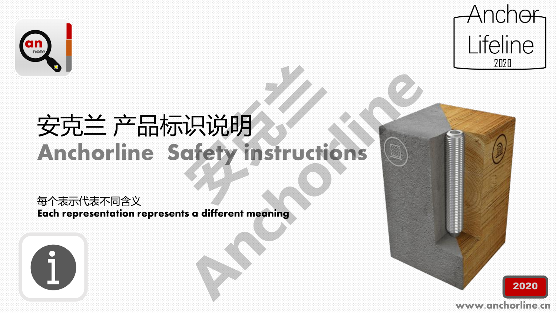

 $\mathbf{I}$ 



# 安克兰 产品标识说明 Anchorline Safety instructions **识说明**<br>ofery instructi 识说明<br>**afety instructions**<br>a different meaning

每个表示代表不同含义 Each representation represents a different meaning

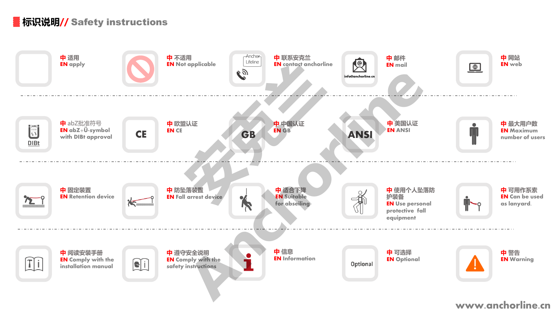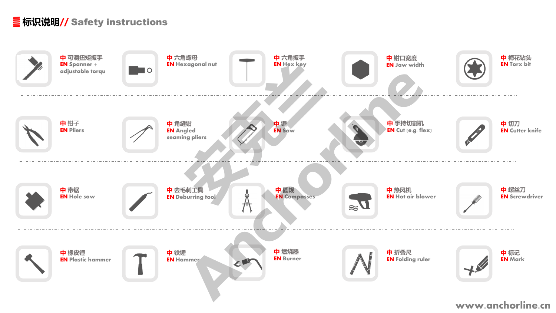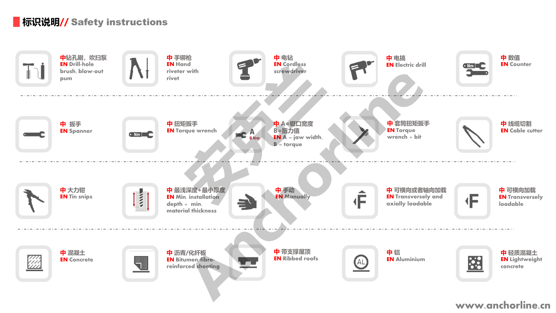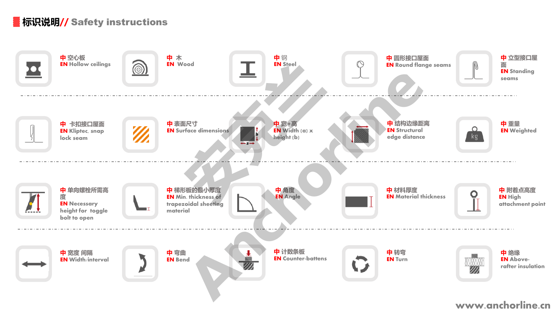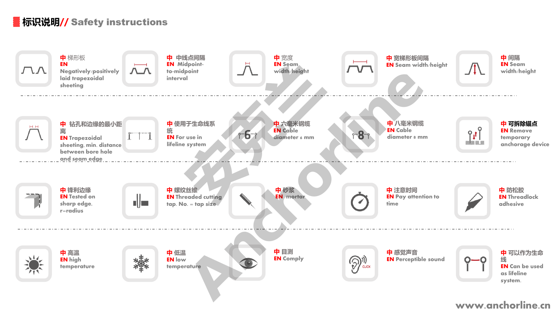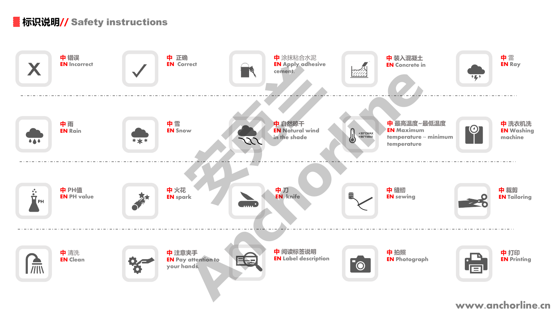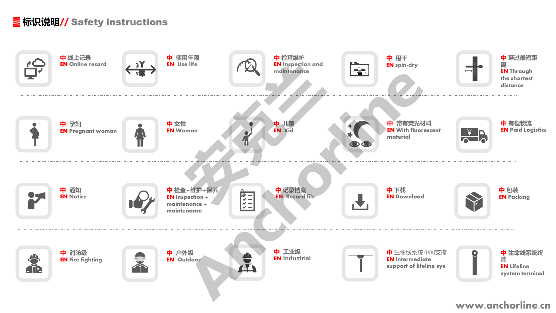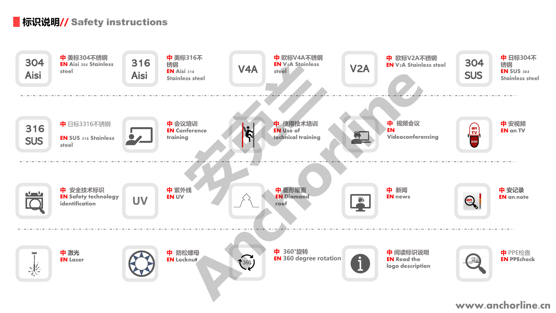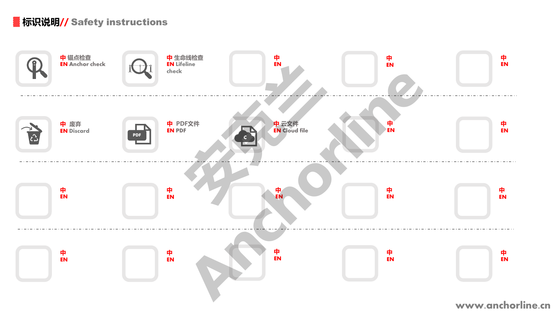